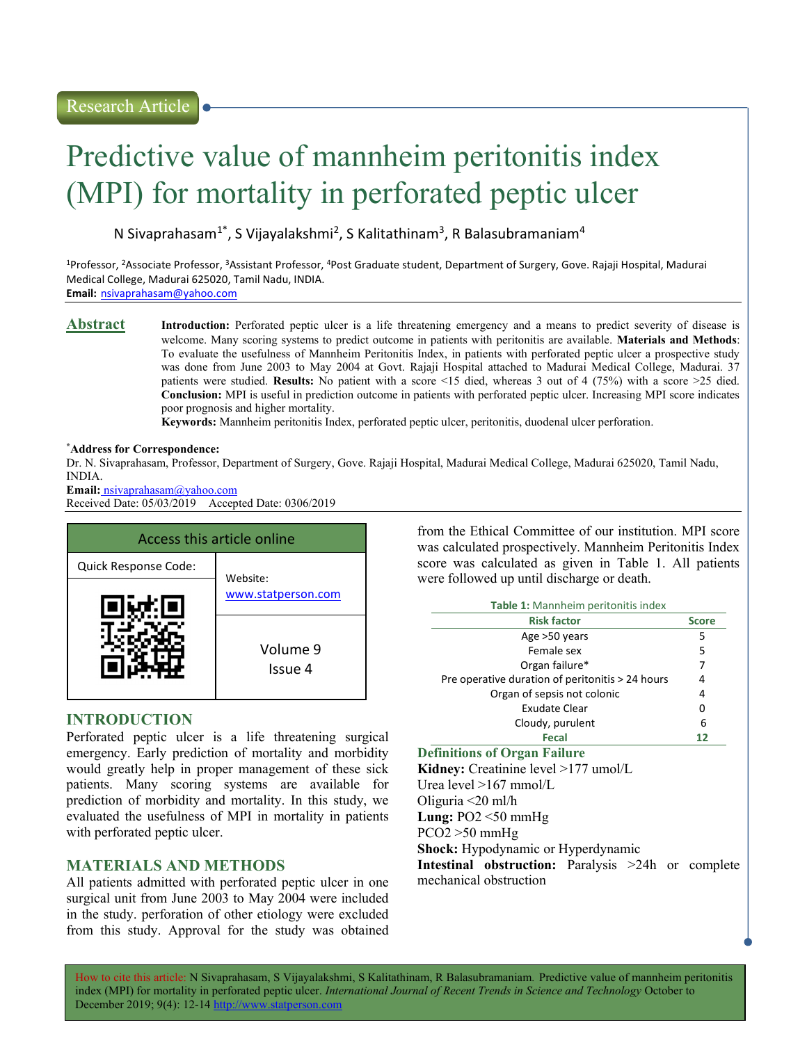# Predictive value of mannheim peritonitis index (MPI) for mortality in perforated peptic ulcer

N Sivaprahasam<sup>1\*</sup>, S Vijayalakshmi<sup>2</sup>, S Kalitathinam<sup>3</sup>, R Balasubramaniam<sup>4</sup>

<sup>1</sup>Professor, <sup>2</sup>Associate Professor, <sup>3</sup>Assistant Professor, <sup>4</sup>Post Graduate student, Department of Surgery, Gove. Rajaji Hospital, Madurai Medical College, Madurai 625020, Tamil Nadu, INDIA. Email: nsivaprahasam@yahoo.com

Abstract Introduction: Perforated peptic ulcer is a life threatening emergency and a means to predict severity of disease is welcome. Many scoring systems to predict outcome in patients with peritonitis are available. Materials and Methods: To evaluate the usefulness of Mannheim Peritonitis Index, in patients with perforated peptic ulcer a prospective study was done from June 2003 to May 2004 at Govt. Rajaji Hospital attached to Madurai Medical College, Madurai. 37 patients were studied. Results: No patient with a score <15 died, whereas 3 out of 4 (75%) with a score >25 died. Conclusion: MPI is useful in prediction outcome in patients with perforated peptic ulcer. Increasing MPI score indicates poor prognosis and higher mortality.

Keywords: Mannheim peritonitis Index, perforated peptic ulcer, peritonitis, duodenal ulcer perforation.

#### \*Address for Correspondence:

Dr. N. Sivaprahasam, Professor, Department of Surgery, Gove. Rajaji Hospital, Madurai Medical College, Madurai 625020, Tamil Nadu, INDIA.

Email: nsivaprahasam@yahoo.com Received Date: 05/03/2019 Accepted Date: 0306/2019

| Access this article online |                                |  |  |  |
|----------------------------|--------------------------------|--|--|--|
| Quick Response Code:       | Website:<br>www.statperson.com |  |  |  |
|                            |                                |  |  |  |
|                            | Volume 9<br>Issue 4            |  |  |  |

## INTRODUCTION

Perforated peptic ulcer is a life threatening surgical emergency. Early prediction of mortality and morbidity would greatly help in proper management of these sick patients. Many scoring systems are available for prediction of morbidity and mortality. In this study, we evaluated the usefulness of MPI in mortality in patients with perforated peptic ulcer.

## MATERIALS AND METHODS

All patients admitted with perforated peptic ulcer in one surgical unit from June 2003 to May 2004 were included in the study. perforation of other etiology were excluded from this study. Approval for the study was obtained

from the Ethical Committee of our institution. MPI score was calculated prospectively. Mannheim Peritonitis Index score was calculated as given in Table 1. All patients were followed up until discharge or death.

| Table 1: Mannheim peritonitis index              |              |  |  |  |
|--------------------------------------------------|--------------|--|--|--|
| <b>Risk factor</b>                               | <b>Score</b> |  |  |  |
| Age >50 years                                    | 5            |  |  |  |
| Female sex                                       | 5            |  |  |  |
| Organ failure*                                   | 7            |  |  |  |
| Pre operative duration of peritonitis > 24 hours | 4            |  |  |  |
| Organ of sepsis not colonic                      | 4            |  |  |  |
| Exudate Clear                                    | 0            |  |  |  |
| Cloudy, purulent                                 | 6            |  |  |  |
| Fecal                                            | 12           |  |  |  |
| <b>Definitions of Organ Failure</b>              |              |  |  |  |
| Kidney: Creatinine level >177 umol/L             |              |  |  |  |
| Urea level >167 mmol/L                           |              |  |  |  |

Oliguria <20 ml/h

**Lung:** PO2  $\leq$ 50 mmHg

PCO2 >50 mmHg

Shock: Hypodynamic or Hyperdynamic

Intestinal obstruction: Paralysis >24h or complete mechanical obstruction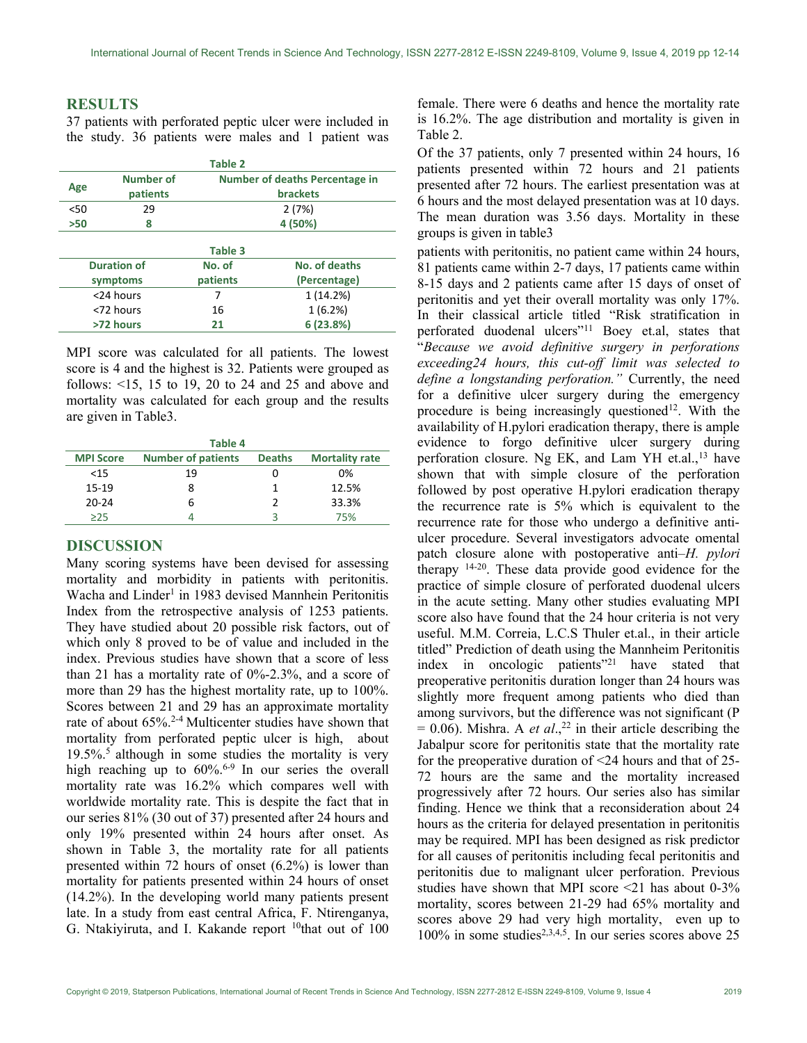#### RESULTS

37 patients with perforated peptic ulcer were included in the study. 36 patients were males and 1 patient was

| <b>Table 2</b>     |                  |                                |               |  |  |  |
|--------------------|------------------|--------------------------------|---------------|--|--|--|
| Age                | <b>Number of</b> | Number of deaths Percentage in |               |  |  |  |
|                    | patients         | <b>brackets</b>                |               |  |  |  |
| < 50               | 29               | 2(7%)                          |               |  |  |  |
| >50                | 8                | 4 (50%)                        |               |  |  |  |
|                    |                  | Table 3                        |               |  |  |  |
| <b>Duration of</b> |                  | No. of                         | No. of deaths |  |  |  |
| symptoms           |                  | patients                       | (Percentage)  |  |  |  |
|                    | <24 hours        | 7                              | 1 (14.2%)     |  |  |  |
| <72 hours          |                  | 16                             | 1(6.2%)       |  |  |  |
| >72 hours          |                  | 21                             | 6(23.8%)      |  |  |  |

MPI score was calculated for all patients. The lowest score is 4 and the highest is 32. Patients were grouped as follows: <15, 15 to 19, 20 to 24 and 25 and above and mortality was calculated for each group and the results are given in Table3.

| Table 4          |                           |               |                       |  |  |
|------------------|---------------------------|---------------|-----------------------|--|--|
| <b>MPI Score</b> | <b>Number of patients</b> | <b>Deaths</b> | <b>Mortality rate</b> |  |  |
| <15              | 19                        | Ω             | በ%                    |  |  |
| $15-19$          | 8                         |               | 12.5%                 |  |  |
| $20 - 24$        | ь                         |               | 33.3%                 |  |  |
| >25              |                           | 3             | 75%                   |  |  |

### DISCUSSION

Many scoring systems have been devised for assessing mortality and morbidity in patients with peritonitis. Wacha and Linder<sup>1</sup> in 1983 devised Mannhein Peritonitis Index from the retrospective analysis of 1253 patients. They have studied about 20 possible risk factors, out of which only 8 proved to be of value and included in the index. Previous studies have shown that a score of less than 21 has a mortality rate of 0%-2.3%, and a score of more than 29 has the highest mortality rate, up to 100%. Scores between 21 and 29 has an approximate mortality rate of about 65%.2-4 Multicenter studies have shown that mortality from perforated peptic ulcer is high, about  $19.5\%$ .<sup>5</sup> although in some studies the mortality is very high reaching up to  $60\%$ .<sup>6-9</sup> In our series the overall mortality rate was 16.2% which compares well with worldwide mortality rate. This is despite the fact that in our series 81% (30 out of 37) presented after 24 hours and only 19% presented within 24 hours after onset. As shown in Table 3, the mortality rate for all patients presented within 72 hours of onset (6.2%) is lower than mortality for patients presented within 24 hours of onset (14.2%). In the developing world many patients present late. In a study from east central Africa, F. Ntirenganya, G. Ntakiyiruta, and I. Kakande report <sup>10</sup>that out of 100

female. There were 6 deaths and hence the mortality rate is 16.2%. The age distribution and mortality is given in Table 2.

Of the 37 patients, only 7 presented within 24 hours, 16 patients presented within 72 hours and 21 patients presented after 72 hours. The earliest presentation was at 6 hours and the most delayed presentation was at 10 days. The mean duration was 3.56 days. Mortality in these groups is given in table3

patients with peritonitis, no patient came within 24 hours, 81 patients came within 2-7 days, 17 patients came within 8-15 days and 2 patients came after 15 days of onset of peritonitis and yet their overall mortality was only 17%. In their classical article titled "Risk stratification in perforated duodenal ulcers"<sup>11</sup> Boey et.al, states that "Because we avoid definitive surgery in perforations exceeding24 hours, this cut-off limit was selected to define a longstanding perforation." Currently, the need for a definitive ulcer surgery during the emergency procedure is being increasingly questioned<sup>12</sup>. With the availability of H.pylori eradication therapy, there is ample evidence to forgo definitive ulcer surgery during perforation closure. Ng EK, and Lam YH et.al.,<sup>13</sup> have shown that with simple closure of the perforation followed by post operative H.pylori eradication therapy the recurrence rate is 5% which is equivalent to the recurrence rate for those who undergo a definitive antiulcer procedure. Several investigators advocate omental patch closure alone with postoperative anti–H. pylori therapy 14-20. These data provide good evidence for the practice of simple closure of perforated duodenal ulcers in the acute setting. Many other studies evaluating MPI score also have found that the 24 hour criteria is not very useful. M.M. Correia, L.C.S Thuler et.al., in their article titled" Prediction of death using the Mannheim Peritonitis index in oncologic patients"<sup>21</sup> have stated that preoperative peritonitis duration longer than 24 hours was slightly more frequent among patients who died than among survivors, but the difference was not significant (P  $= 0.06$ ). Mishra. A *et al.*,<sup>22</sup> in their article describing the Jabalpur score for peritonitis state that the mortality rate for the preoperative duration of <24 hours and that of 25- 72 hours are the same and the mortality increased progressively after 72 hours. Our series also has similar finding. Hence we think that a reconsideration about 24 hours as the criteria for delayed presentation in peritonitis may be required. MPI has been designed as risk predictor for all causes of peritonitis including fecal peritonitis and peritonitis due to malignant ulcer perforation. Previous studies have shown that MPI score  $\leq 21$  has about 0-3% mortality, scores between 21-29 had 65% mortality and scores above 29 had very high mortality, even up to 100% in some studies<sup>2,3,4,5</sup>. In our series scores above 25